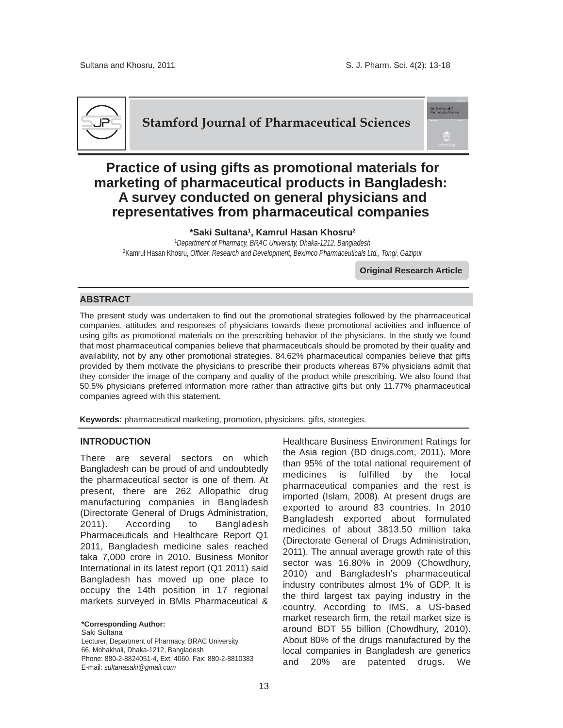

**Stamford Journal of Pharmaceutical Sciences**

# **Practice of using gifts as promotional materials for marketing of pharmaceutical products in Bangladesh: A survey conducted on general physicians and representatives from pharmaceutical companies**

**\*Saki Sultana1, Kamrul Hasan Khosru2** <sup>1</sup>*Department of Pharmacy, BRAC University, Dhaka-1212, Bangladesh* 2Kamrul Hasan Khosru, *Officer, Research and Development, Beximco Pharmaceuticals Ltd., Tongi, Gazipur*

**Original Research Article**

# **ABSTRACT**

The present study was undertaken to find out the promotional strategies followed by the pharmaceutical companies, attitudes and responses of physicians towards these promotional activities and influence of using gifts as promotional materials on the prescribing behavior of the physicians. In the study we found that most pharmaceutical companies believe that pharmaceuticals should be promoted by their quality and availability, not by any other promotional strategies. 84.62% pharmaceutical companies believe that gifts provided by them motivate the physicians to prescribe their products whereas 87% physicians admit that they consider the image of the company and quality of the product while prescribing. We also found that 50.5% physicians preferred information more rather than attractive gifts but only 11.77% pharmaceutical companies agreed with this statement.

**Keywords:** pharmaceutical marketing, promotion, physicians, gifts, strategies.

#### **INTRODUCTION**

There are several sectors on which Bangladesh can be proud of and undoubtedly the pharmaceutical sector is one of them. At present, there are 262 Allopathic drug manufacturing companies in Bangladesh (Directorate General of Drugs Administration, 2011). According to Bangladesh Pharmaceuticals and Healthcare Report Q1 2011, Bangladesh medicine sales reached taka 7,000 crore in 2010. Business Monitor International in its latest report (Q1 2011) said Bangladesh has moved up one place to occupy the 14th position in 17 regional markets surveyed in BMIs Pharmaceutical &

**\*Corresponding Author:** Saki Sultana Lecturer, Department of Pharmacy, BRAC University 66, Mohakhali, Dhaka-1212, Bangladesh Phone: 880-2-8824051-4, Ext: 4060, Fax: 880-2-8810383 E-mail: *sultanasaki@gmail.com*

Healthcare Business Environment Ratings for the Asia region (BD drugs.com, 2011). More than 95% of the total national requirement of medicines is fulfilled by the local pharmaceutical companies and the rest is imported (Islam, 2008). At present drugs are exported to around 83 countries. In 2010 Bangladesh exported about formulated medicines of about 3813.50 million taka (Directorate General of Drugs Administration, 2011). The annual average growth rate of this sector was 16.80% in 2009 (Chowdhury, 2010) and Bangladesh's pharmaceutical industry contributes almost 1% of GDP. It is the third largest tax paying industry in the country. According to IMS, a US-based market research firm, the retail market size is around BDT 55 billion (Chowdhury, 2010). About 80% of the drugs manufactured by the local companies in Bangladesh are generics and 20% are patented drugs. We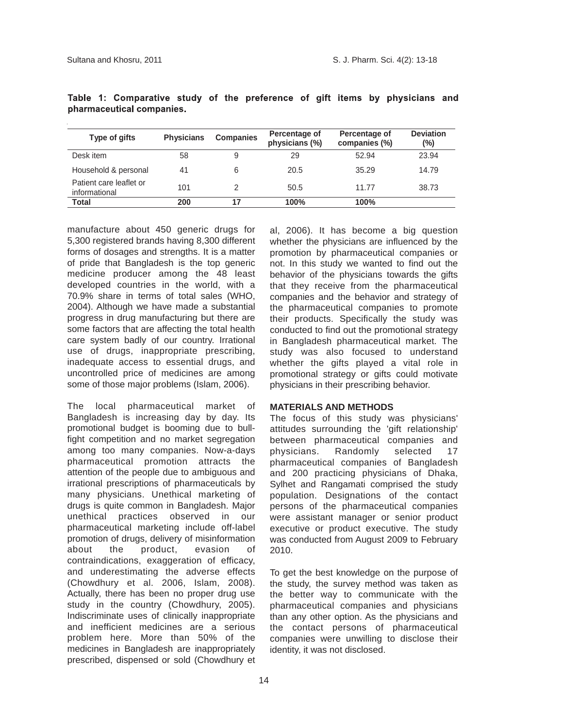| Type of gifts                            | <b>Physicians</b> | <b>Companies</b> | Percentage of<br>physicians (%) | Percentage of<br>companies (%) | <b>Deviation</b><br>(%) |
|------------------------------------------|-------------------|------------------|---------------------------------|--------------------------------|-------------------------|
| Desk item                                | 58                | 9                | 29                              | 52.94                          | 23.94                   |
| Household & personal                     | 41                | 6                | 20.5                            | 35.29                          | 14.79                   |
| Patient care leaflet or<br>informational | 101               |                  | 50.5                            | 11.77                          | 38.73                   |
| Total                                    | 200               | 17               | 100%                            | 100%                           |                         |

|                          |  | Table 1: Comparative study of the preference of gift items by physicians and |  |  |  |  |  |  |  |  |  |  |
|--------------------------|--|------------------------------------------------------------------------------|--|--|--|--|--|--|--|--|--|--|
| pharmaceutical companies |  |                                                                              |  |  |  |  |  |  |  |  |  |  |

manufacture about 450 generic drugs for 5,300 registered brands having 8,300 different forms of dosages and strengths. It is a matter of pride that Bangladesh is the top generic medicine producer among the 48 least developed countries in the world, with a 70.9% share in terms of total sales (WHO, 2004). Although we have made a substantial progress in drug manufacturing but there are some factors that are affecting the total health care system badly of our country. Irrational use of drugs, inappropriate prescribing, inadequate access to essential drugs, and uncontrolled price of medicines are among some of those major problems (Islam, 2006).

The local pharmaceutical market of Bangladesh is increasing day by day. Its promotional budget is booming due to bullfight competition and no market segregation among too many companies. Now-a-days pharmaceutical promotion attracts the attention of the people due to ambiguous and irrational prescriptions of pharmaceuticals by many physicians. Unethical marketing of drugs is quite common in Bangladesh. Major unethical practices observed in our pharmaceutical marketing include off-label promotion of drugs, delivery of misinformation about the product, evasion of contraindications, exaggeration of efficacy, and underestimating the adverse effects (Chowdhury et al. 2006, Islam, 2008). Actually, there has been no proper drug use study in the country (Chowdhury, 2005). Indiscriminate uses of clinically inappropriate and inefficient medicines are a serious problem here. More than 50% of the medicines in Bangladesh are inappropriately prescribed, dispensed or sold (Chowdhury et al, 2006). It has become a big question whether the physicians are influenced by the promotion by pharmaceutical companies or not. In this study we wanted to find out the behavior of the physicians towards the gifts that they receive from the pharmaceutical companies and the behavior and strategy of the pharmaceutical companies to promote their products. Specifically the study was conducted to find out the promotional strategy in Bangladesh pharmaceutical market. The study was also focused to understand whether the gifts played a vital role in promotional strategy or gifts could motivate physicians in their prescribing behavior.

# **MATERIALS AND METHODS**

The focus of this study was physicians' attitudes surrounding the 'gift relationship' between pharmaceutical companies and physicians. Randomly selected 17 pharmaceutical companies of Bangladesh and 200 practicing physicians of Dhaka, Sylhet and Rangamati comprised the study population. Designations of the contact persons of the pharmaceutical companies were assistant manager or senior product executive or product executive. The study was conducted from August 2009 to February 2010.

To get the best knowledge on the purpose of the study, the survey method was taken as the better way to communicate with the pharmaceutical companies and physicians than any other option. As the physicians and the contact persons of pharmaceutical companies were unwilling to disclose their identity, it was not disclosed.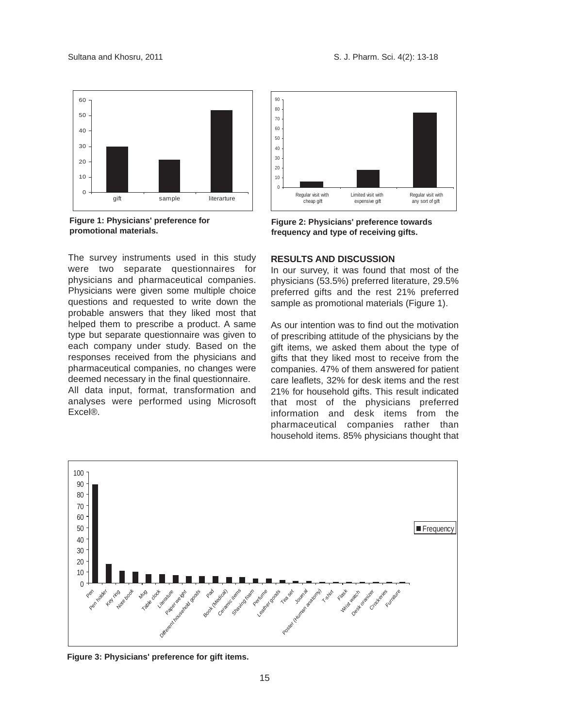

**Figure 1: Physicians' preference for promotional materials.**

The survey instruments used in this study were two separate questionnaires for physicians and pharmaceutical companies. Physicians were given some multiple choice questions and requested to write down the probable answers that they liked most that helped them to prescribe a product. A same type but separate questionnaire was given to each company under study. Based on the responses received from the physicians and pharmaceutical companies, no changes were deemed necessary in the final questionnaire.

All data input, format, transformation and analyses were performed using Microsoft Excel®.



**Figure 2: Physicians' preference towards frequency and type of receiving gifts.**

# **RESULTS AND DISCUSSION**

In our survey, it was found that most of the physicians (53.5%) preferred literature, 29.5% preferred gifts and the rest 21% preferred sample as promotional materials (Figure 1).

As our intention was to find out the motivation of prescribing attitude of the physicians by the gift items, we asked them about the type of gifts that they liked most to receive from the companies. 47% of them answered for patient care leaflets, 32% for desk items and the rest 21% for household gifts. This result indicated that most of the physicians preferred information and desk items from the pharmaceutical companies rather than household items. 85% physicians thought that



**Figure 3: Physicians' preference for gift items.**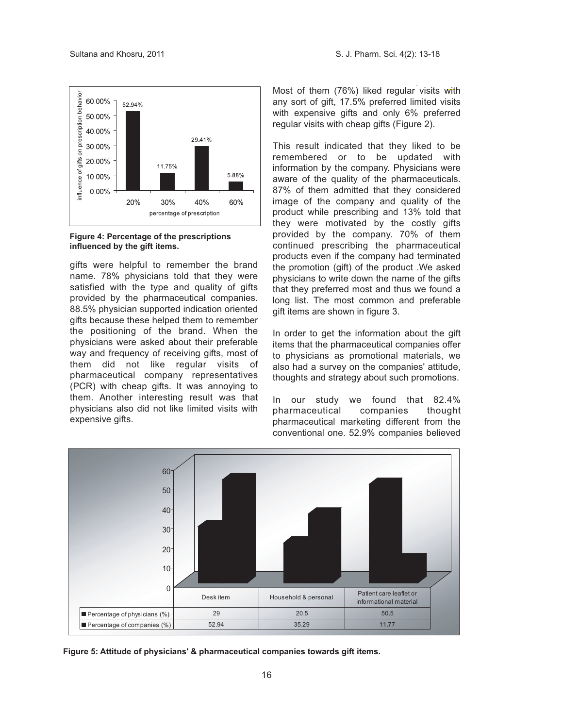

**Figure 4: Percentage of the prescriptions influenced by the gift items.**

gifts were helpful to remember the brand name. 78% physicians told that they were satisfied with the type and quality of gifts provided by the pharmaceutical companies. 88.5% physician supported indication oriented gifts because these helped them to remember the positioning of the brand. When the physicians were asked about their preferable way and frequency of receiving gifts, most of them did not like regular visits of pharmaceutical company representatives (PCR) with cheap gifts. It was annoying to them. Another interesting result was that physicians also did not like limited visits with expensive gifts.

Most of them (76%) liked regular visits with any sort of gift, 17.5% preferred limited visits with expensive gifts and only 6% preferred regular visits with cheap gifts (Figure 2).

This result indicated that they liked to be remembered or to be updated with information by the company. Physicians were aware of the quality of the pharmaceuticals. 87% of them admitted that they considered image of the company and quality of the product while prescribing and 13% told that they were motivated by the costly gifts provided by the company. 70% of them continued prescribing the pharmaceutical products even if the company had terminated the promotion (gift) of the product .We asked physicians to write down the name of the gifts that they preferred most and thus we found a long list. The most common and preferable gift items are shown in figure 3.

In order to get the information about the gift items that the pharmaceutical companies offer to physicians as promotional materials, we also had a survey on the companies' attitude, thoughts and strategy about such promotions.

In our study we found that 82.4%<br>pharmaceutical companies thought pharmaceutical companies pharmaceutical marketing different from the conventional one. 52.9% companies believed



**Figure 5: Attitude of physicians' & pharmaceutical companies towards gift items.**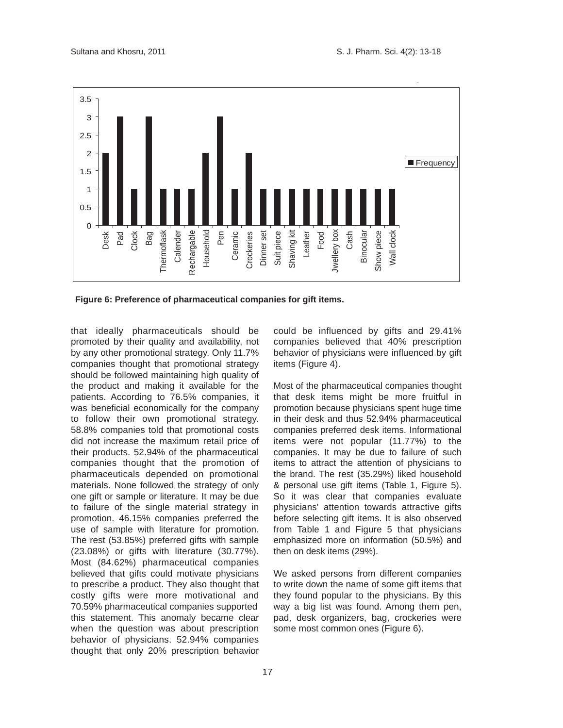

 **Figure 6: Preference of pharmaceutical companies for gift items.**

that ideally pharmaceuticals should be promoted by their quality and availability, not by any other promotional strategy. Only 11.7% companies thought that promotional strategy should be followed maintaining high quality of the product and making it available for the patients. According to 76.5% companies, it was beneficial economically for the company to follow their own promotional strategy. 58.8% companies told that promotional costs did not increase the maximum retail price of their products. 52.94% of the pharmaceutical companies thought that the promotion of pharmaceuticals depended on promotional materials. None followed the strategy of only one gift or sample or literature. It may be due to failure of the single material strategy in promotion. 46.15% companies preferred the use of sample with literature for promotion. The rest (53.85%) preferred gifts with sample (23.08%) or gifts with literature (30.77%). Most (84.62%) pharmaceutical companies believed that gifts could motivate physicians to prescribe a product. They also thought that costly gifts were more motivational and 70.59% pharmaceutical companies supported this statement. This anomaly became clear when the question was about prescription behavior of physicians. 52.94% companies thought that only 20% prescription behavior could be influenced by gifts and 29.41% companies believed that 40% prescription behavior of physicians were influenced by gift items (Figure 4).

Most of the pharmaceutical companies thought that desk items might be more fruitful in promotion because physicians spent huge time in their desk and thus 52.94% pharmaceutical companies preferred desk items. Informational items were not popular (11.77%) to the companies. It may be due to failure of such items to attract the attention of physicians to the brand. The rest (35.29%) liked household & personal use gift items (Table 1, Figure 5). So it was clear that companies evaluate physicians' attention towards attractive gifts before selecting gift items. It is also observed from Table 1 and Figure 5 that physicians emphasized more on information (50.5%) and then on desk items (29%).

We asked persons from different companies to write down the name of some gift items that they found popular to the physicians. By this way a big list was found. Among them pen, pad, desk organizers, bag, crockeries were some most common ones (Figure 6).